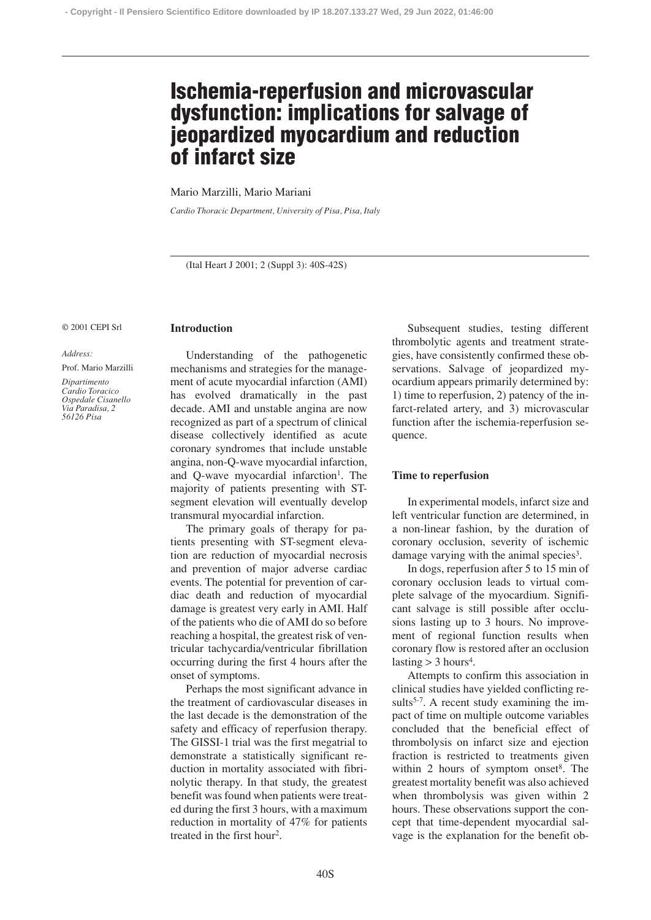# **Ischemia-reperfusion and microvascular dysfunction: implications for salvage of jeopardized myocardium and reduction of infarct size**

Mario Marzilli, Mario Mariani

**Introduction**

*Cardio Thoracic Department, University of Pisa, Pisa, Italy*

(Ital Heart J 2001; 2 (Suppl 3): 40S-42S)

#### © 2001 CEPI Srl

*Address:*

Prof. Mario Marzilli

*Dipartimento Cardio Toracico Ospedale Cisanello Via Paradisa, 2 56126 Pisa*

Understanding of the pathogenetic mechanisms and strategies for the management of acute myocardial infarction (AMI) has evolved dramatically in the past decade. AMI and unstable angina are now recognized as part of a spectrum of clinical disease collectively identified as acute coronary syndromes that include unstable angina, non-Q-wave myocardial infarction, and Q-wave myocardial infarction<sup>1</sup>. The majority of patients presenting with STsegment elevation will eventually develop transmural myocardial infarction.

The primary goals of therapy for patients presenting with ST-segment elevation are reduction of myocardial necrosis and prevention of major adverse cardiac events. The potential for prevention of cardiac death and reduction of myocardial damage is greatest very early in AMI. Half of the patients who die of AMI do so before reaching a hospital, the greatest risk of ventricular tachycardia/ventricular fibrillation occurring during the first 4 hours after the onset of symptoms.

Perhaps the most significant advance in the treatment of cardiovascular diseases in the last decade is the demonstration of the safety and efficacy of reperfusion therapy. The GISSI-1 trial was the first megatrial to demonstrate a statistically significant reduction in mortality associated with fibrinolytic therapy. In that study, the greatest benefit was found when patients were treated during the first 3 hours, with a maximum reduction in mortality of 47% for patients treated in the first hour2.

Subsequent studies, testing different thrombolytic agents and treatment strategies, have consistently confirmed these observations. Salvage of jeopardized myocardium appears primarily determined by: 1) time to reperfusion, 2) patency of the infarct-related artery, and 3) microvascular function after the ischemia-reperfusion sequence.

### **Time to reperfusion**

In experimental models, infarct size and left ventricular function are determined, in a non-linear fashion, by the duration of coronary occlusion, severity of ischemic damage varying with the animal species<sup>3</sup>.

In dogs, reperfusion after 5 to 15 min of coronary occlusion leads to virtual complete salvage of the myocardium. Significant salvage is still possible after occlusions lasting up to 3 hours. No improvement of regional function results when coronary flow is restored after an occlusion lasting  $>$  3 hours<sup>4</sup>.

Attempts to confirm this association in clinical studies have yielded conflicting results<sup>5-7</sup>. A recent study examining the impact of time on multiple outcome variables concluded that the beneficial effect of thrombolysis on infarct size and ejection fraction is restricted to treatments given within 2 hours of symptom onset<sup>8</sup>. The greatest mortality benefit was also achieved when thrombolysis was given within 2 hours. These observations support the concept that time-dependent myocardial salvage is the explanation for the benefit ob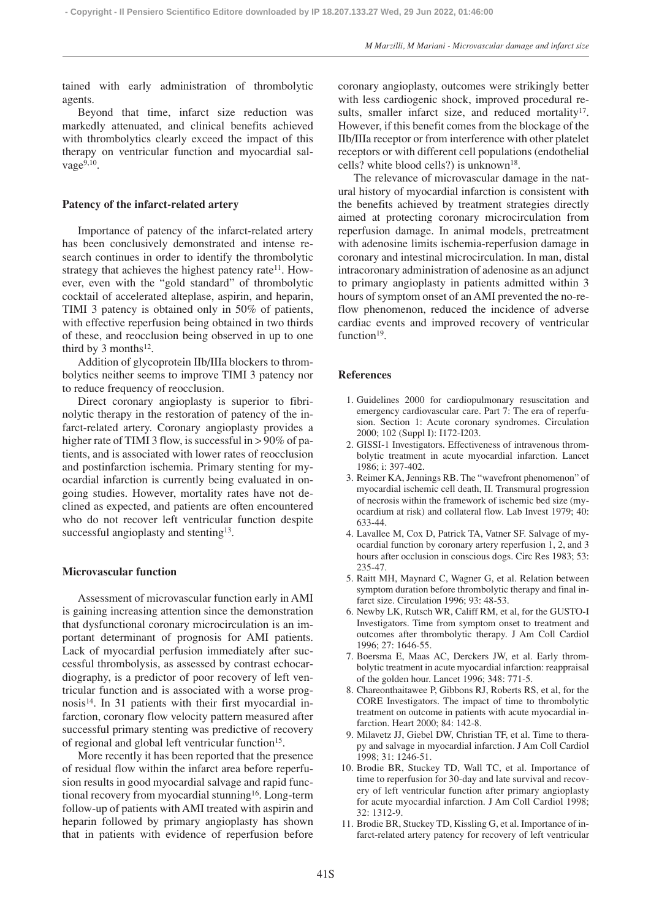tained with early administration of thrombolytic agents.

Beyond that time, infarct size reduction was markedly attenuated, and clinical benefits achieved with thrombolytics clearly exceed the impact of this therapy on ventricular function and myocardial salvage $9,10$ .

#### **Patency of the infarct-related artery**

Importance of patency of the infarct-related artery has been conclusively demonstrated and intense research continues in order to identify the thrombolytic strategy that achieves the highest patency rate $11$ . However, even with the "gold standard" of thrombolytic cocktail of accelerated alteplase, aspirin, and heparin, TIMI 3 patency is obtained only in 50% of patients, with effective reperfusion being obtained in two thirds of these, and reocclusion being observed in up to one third by 3 months<sup>12</sup>.

Addition of glycoprotein IIb/IIIa blockers to thrombolytics neither seems to improve TIMI 3 patency nor to reduce frequency of reocclusion.

Direct coronary angioplasty is superior to fibrinolytic therapy in the restoration of patency of the infarct-related artery. Coronary angioplasty provides a higher rate of TIMI 3 flow, is successful in > 90% of patients, and is associated with lower rates of reocclusion and postinfarction ischemia. Primary stenting for myocardial infarction is currently being evaluated in ongoing studies. However, mortality rates have not declined as expected, and patients are often encountered who do not recover left ventricular function despite successful angioplasty and stenting<sup>13</sup>.

## **Microvascular function**

Assessment of microvascular function early in AMI is gaining increasing attention since the demonstration that dysfunctional coronary microcirculation is an important determinant of prognosis for AMI patients. Lack of myocardial perfusion immediately after successful thrombolysis, as assessed by contrast echocardiography, is a predictor of poor recovery of left ventricular function and is associated with a worse prognosis<sup>14</sup>. In 31 patients with their first myocardial infarction, coronary flow velocity pattern measured after successful primary stenting was predictive of recovery of regional and global left ventricular function<sup>15</sup>.

More recently it has been reported that the presence of residual flow within the infarct area before reperfusion results in good myocardial salvage and rapid functional recovery from myocardial stunning<sup>16</sup>. Long-term follow-up of patients with AMI treated with aspirin and heparin followed by primary angioplasty has shown that in patients with evidence of reperfusion before

coronary angioplasty, outcomes were strikingly better with less cardiogenic shock, improved procedural results, smaller infarct size, and reduced mortality<sup>17</sup>. However, if this benefit comes from the blockage of the IIb/IIIa receptor or from interference with other platelet receptors or with different cell populations (endothelial cells? white blood cells?) is unknown<sup>18</sup>.

The relevance of microvascular damage in the natural history of myocardial infarction is consistent with the benefits achieved by treatment strategies directly aimed at protecting coronary microcirculation from reperfusion damage. In animal models, pretreatment with adenosine limits ischemia-reperfusion damage in coronary and intestinal microcirculation. In man, distal intracoronary administration of adenosine as an adjunct to primary angioplasty in patients admitted within 3 hours of symptom onset of an AMI prevented the no-reflow phenomenon, reduced the incidence of adverse cardiac events and improved recovery of ventricular function<sup>19</sup>.

## **References**

- 1. Guidelines 2000 for cardiopulmonary resuscitation and emergency cardiovascular care. Part 7: The era of reperfusion. Section 1: Acute coronary syndromes. Circulation 2000; 102 (Suppl I): I172-I203.
- 2. GISSI-1 Investigators. Effectiveness of intravenous thrombolytic treatment in acute myocardial infarction. Lancet 1986; i: 397-402.
- 3. Reimer KA, Jennings RB. The "wavefront phenomenon" of myocardial ischemic cell death, II. Transmural progression of necrosis within the framework of ischemic bed size (myocardium at risk) and collateral flow. Lab Invest 1979; 40: 633-44.
- 4. Lavallee M, Cox D, Patrick TA, Vatner SF. Salvage of myocardial function by coronary artery reperfusion 1, 2, and 3 hours after occlusion in conscious dogs. Circ Res 1983; 53: 235-47.
- 5. Raitt MH, Maynard C, Wagner G, et al. Relation between symptom duration before thrombolytic therapy and final infarct size. Circulation 1996; 93: 48-53.
- 6. Newby LK, Rutsch WR, Califf RM, et al, for the GUSTO-I Investigators. Time from symptom onset to treatment and outcomes after thrombolytic therapy. J Am Coll Cardiol 1996; 27: 1646-55.
- 7. Boersma E, Maas AC, Derckers JW, et al. Early thrombolytic treatment in acute myocardial infarction: reappraisal of the golden hour. Lancet 1996; 348: 771-5.
- 8. Chareonthaitawee P, Gibbons RJ, Roberts RS, et al, for the CORE Investigators. The impact of time to thrombolytic treatment on outcome in patients with acute myocardial infarction. Heart 2000; 84: 142-8.
- 9. Milavetz JJ, Giebel DW, Christian TF, et al. Time to therapy and salvage in myocardial infarction. J Am Coll Cardiol 1998; 31: 1246-51.
- 10. Brodie BR, Stuckey TD, Wall TC, et al. Importance of time to reperfusion for 30-day and late survival and recovery of left ventricular function after primary angioplasty for acute myocardial infarction. J Am Coll Cardiol 1998; 32: 1312-9.
- 11. Brodie BR, Stuckey TD, Kissling G, et al. Importance of infarct-related artery patency for recovery of left ventricular